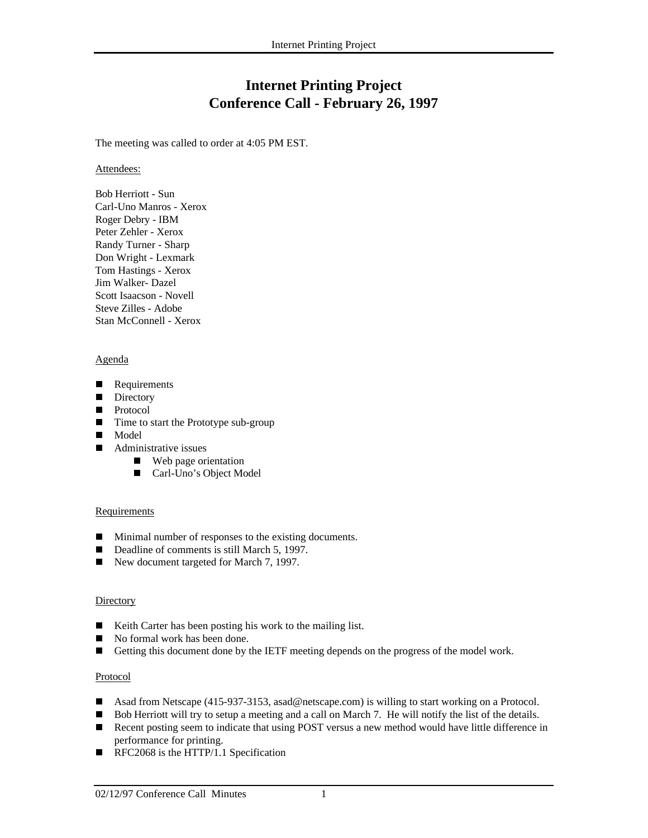# **Internet Printing Project Conference Call - February 26, 1997**

The meeting was called to order at 4:05 PM EST.

Attendees:

Bob Herriott - Sun Carl-Uno Manros - Xerox Roger Debry - IBM Peter Zehler - Xerox Randy Turner - Sharp Don Wright - Lexmark Tom Hastings - Xerox Jim Walker- Dazel Scott Isaacson - Novell Steve Zilles - Adobe Stan McConnell - Xerox

## Agenda

- П Requirements
- $\blacksquare$  Directory
- **Protocol**
- Time to start the Prototype sub-group
- Model
- $\blacksquare$  Administrative issues
	- Web page orientation
	- $\blacksquare$ Carl-Uno's Object Model

## **Requirements**

- $\blacksquare$ Minimal number of responses to the existing documents.
- Г Deadline of comments is still March 5, 1997.
- Г New document targeted for March 7, 1997.

## **Directory**

- П Keith Carter has been posting his work to the mailing list.
- $\overline{\phantom{a}}$ No formal work has been done.
- Г Getting this document done by the IETF meeting depends on the progress of the model work.

## Protocol

- П Asad from Netscape (415-937-3153, asad@netscape.com) is willing to start working on a Protocol.
- Bob Herriott will try to setup a meeting and a call on March 7. He will notify the list of the details.
- $\blacksquare$  Recent posting seem to indicate that using POST versus a new method would have little difference in performance for printing.
- RFC2068 is the HTTP/1.1 Specification